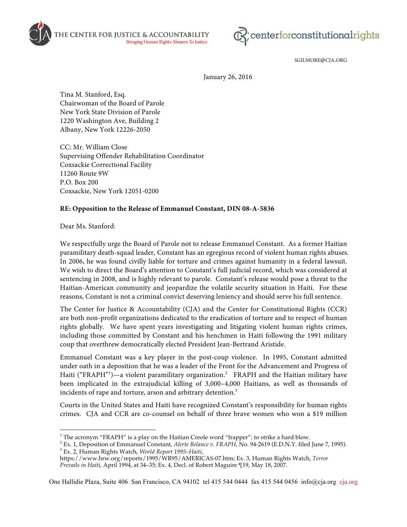



SGILMORE@CJA.ORG

January 26, 2016

Tina M. Stanford, Esq. Chairwoman of the Board of Parole New York State Division of Parole 1220 Washington Ave, Building 2 Albany, New York 12226-2050

CC: Mr. William Close Supervising Offender Rehabilitation Coordinator Coxsackie Correctional Facility 11260 Route 9W P.O. Box 200 Coxsackie, New York 12051-0200

## **RE: Opposition to the Release of Emmanuel Constant, DIN 08-A-5836**

Dear Ms. Stanford:

We respectfully urge the Board of Parole not to release Emmanuel Constant. As a former Haitian paramilitary death-squad leader, Constant has an egregious record of violent human rights abuses. In 2006, he was found civilly liable for torture and crimes against humanity in a federal lawsuit. We wish to direct the Board's attention to Constant's full judicial record, which was considered at sentencing in 2008, and is highly relevant to parole. Constant's release would pose a threat to the Haitian-American community and jeopardize the volatile security situation in Haiti. For these reasons, Constant is not a criminal convict deserving leniency and should serve his full sentence.

The Center for Justice & Accountability (CJA) and the Center for Constitutional Rights (CCR) are both non-profit organizations dedicated to the eradication of torture and to respect of human rights globally. We have spent years investigating and litigating violent human rights crimes, including those committed by Constant and his henchmen in Haiti following the 1991 military coup that overthrew democratically elected President Jean-Bertrand Aristide.

Emmanuel Constant was a key player in the post-coup violence. In 1995, Constant admitted under oath in a deposition that he was a leader of the Front for the Advancement and Progress of Haiti ("FRAPH"<sup>1</sup>)—a violent paramilitary organization.<sup>2</sup> FRAPH and the Haitian military have been implicated in the extrajudicial killing of 3,000–4,000 Haitians, as well as thousands of incidents of rape and torture, arson and arbitrary detention.<sup>3</sup>

Courts in the United States and Haiti have recognized Constant's responsibility for human rights crimes. CJA and CCR are co-counsel on behalf of three brave women who won a \$19 million

<sup>&</sup>lt;sup>1</sup> The acronym "FRAPH" is a play on the Haitian Creole word "frapper": to strike a hard blow.<br><sup>2</sup> Ex. 1, Deposition of Emmanuel Constant, *Alerte Belance v. FRAPH*, No. 94-2619 (E.D.N.Y. filed June 7, 1995).<br><sup>3</sup> Ex. 2, H

https://www.hrw.org/reports/1995/WR95/AMERICAS-07.htm; Ex. 3, Human Rights Watch, *Terror Prevails in Haiti*, April 1994, at 34–35; Ex. 4, Decl. of Robert Maguire ¶19, May 18, 2007.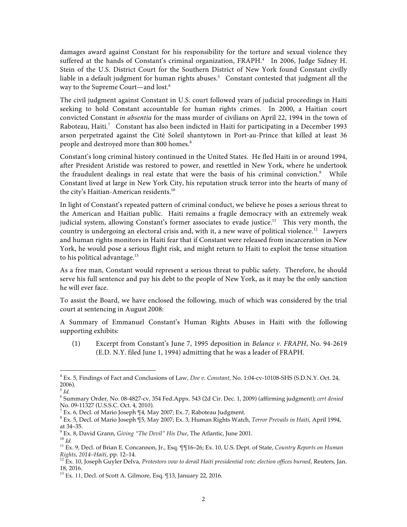damages award against Constant for his responsibility for the torture and sexual violence they suffered at the hands of Constant's criminal organization, FRAPH.<sup>4</sup> In 2006, Judge Sidney H. Stein of the U.S. District Court for the Southern District of New York found Constant civilly liable in a default judgment for human rights abuses.<sup>5</sup> Constant contested that judgment all the way to the Supreme Court—and lost.6

The civil judgment against Constant in U.S. court followed years of judicial proceedings in Haiti seeking to hold Constant accountable for human rights crimes. In 2000, a Haitian court convicted Constant in absentia for the mass murder of civilians on April 22, 1994 in the town of Raboteau, Haiti.<sup>7</sup> Constant has also been indicted in Haiti for participating in a December 1993 arson perpetrated against the Cité Soleil shantytown in Port-au-Prince that killed at least 36 people and destroyed more than 800 homes.<sup>8</sup>

Constant's long criminal history continued in the United States. He fled Haiti in or around 1994, after President Aristide was restored to power, and resettled in New York, where he undertook the fraudulent dealings in real estate that were the basis of his criminal conviction.<sup>9</sup> While Constant lived at large in New York City, his reputation struck terror into the hearts of many of the city's Haitian-American residents.<sup>10</sup>

In light of Constant's repeated pattern of criminal conduct, we believe he poses a serious threat to the American and Haitian public. Haiti remains a fragile democracy with an extremely weak judicial system, allowing Constant's former associates to evade justice.<sup>11</sup> This very month, the country is undergoing an electoral crisis and, with it, a new wave of political violence.<sup>12</sup> Lawyers and human rights monitors in Haiti fear that if Constant were released from incarceration in New York, he would pose a serious flight risk, and might return to Haiti to exploit the tense situation to his political advantage. $13$ 

As a free man, Constant would represent a serious threat to public safety. Therefore, he should serve his full sentence and pay his debt to the people of New York, as it may be the only sanction he will ever face.

To assist the Board, we have enclosed the following, much of which was considered by the trial court at sentencing in August 2008:

A Summary of Emmanuel Constant's Human Rights Abuses in Haiti with the following supporting exhibits:

(1) Excerpt from Constant's June 7, 1995 deposition in Belance v. FRAPH, No. 94-2619 (E.D. N.Y. filed June 1, 1994) admitting that he was a leader of FRAPH.

 <sup>4</sup> Ex. 5, Findings of Fact and Conclusions of Law, *Doe v. Constant*, No. 1:04-cv-10108-SHS (S.D.N.Y. Oct. 24, 2006).

<sup>5</sup> *Id.*

<sup>6</sup> Summary Order, No. 08-4827-cv, 354 Fed.Appx. 543 (2d Cir. Dec. 1, 2009) (affirming judgment); *cert denied*

<sup>&</sup>lt;sup>7</sup> Ex. 6, Decl. of Mario Joseph  $\P 4$ , May 2007; Ex. 7, Raboteau Judgment.

<sup>8</sup> Ex. 5, Decl. of Mario Joseph ¶5, May 2007; Ex. 3, Human Rights Watch, *Terror Prevails in Haiti*, April 1994,

<sup>&</sup>lt;sup>9</sup> Ex. 8, David Grann, Giving "The Devil" His Due, The Atlantic, June 2001.<br><sup>10</sup> Id.<br><sup>11</sup> Ex. 9, Decl. of Brian E. Concannon, Jr., Esq. ¶¶16–26; Ex. 10, U.S. Dept. of State, *Country Reports on Human*<br>Rights, 2014–Haiti,

<sup>&</sup>lt;sup>12</sup> Ex. 10, Joseph Guyler Delva, *Protestors vow to derail Haiti presidential vote; election offices burned*, Reuters, Jan. 18, 2016.

<sup>&</sup>lt;sup>13</sup> Ex. 11, Decl. of Scott A. Gilmore, Esq. [13, January 22, 2016.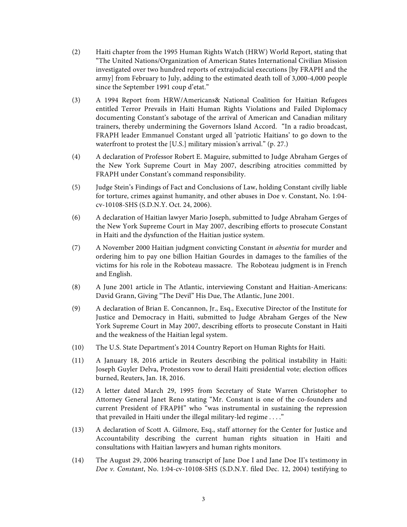- (2) Haiti chapter from the 1995 Human Rights Watch (HRW) World Report, stating that "The United Nations/Organization of American States International Civilian Mission investigated over two hundred reports of extrajudicial executions [by FRAPH and the army] from February to July, adding to the estimated death toll of 3,000-4,000 people since the September 1991 coup d'etat."
- (3) A 1994 Report from HRW/Americans& National Coalition for Haitian Refugees entitled Terror Prevails in Haiti Human Rights Violations and Failed Diplomacy documenting Constant's sabotage of the arrival of American and Canadian military trainers, thereby undermining the Governors Island Accord. "In a radio broadcast, FRAPH leader Emmanuel Constant urged all 'patriotic Haitians' to go down to the waterfront to protest the [U.S.] military mission's arrival." (p. 27.)
- (4) A declaration of Professor Robert E. Maguire, submitted to Judge Abraham Gerges of the New York Supreme Court in May 2007, describing atrocities committed by FRAPH under Constant's command responsibility.
- (5) Judge Stein's Findings of Fact and Conclusions of Law, holding Constant civilly liable for torture, crimes against humanity, and other abuses in Doe v. Constant, No. 1:04 cv-10108-SHS (S.D.N.Y. Oct. 24, 2006).
- (6) A declaration of Haitian lawyer Mario Joseph, submitted to Judge Abraham Gerges of the New York Supreme Court in May 2007, describing efforts to prosecute Constant in Haiti and the dysfunction of the Haitian justice system.
- (7) A November 2000 Haitian judgment convicting Constant in absentia for murder and ordering him to pay one billion Haitian Gourdes in damages to the families of the victims for his role in the Roboteau massacre. The Roboteau judgment is in French and English.
- (8) A June 2001 article in The Atlantic, interviewing Constant and Haitian-Americans: David Grann, Giving "The Devil" His Due, The Atlantic, June 2001.
- (9) A declaration of Brian E. Concannon, Jr., Esq., Executive Director of the Institute for Justice and Democracy in Haiti, submitted to Judge Abraham Gerges of the New York Supreme Court in May 2007, describing efforts to prosecute Constant in Haiti and the weakness of the Haitian legal system.
- (10) The U.S. State Department's 2014 Country Report on Human Rights for Haiti.
- (11) A January 18, 2016 article in Reuters describing the political instability in Haiti: Joseph Guyler Delva, Protestors vow to derail Haiti presidential vote; election offices burned, Reuters, Jan. 18, 2016.
- (12) A letter dated March 29, 1995 from Secretary of State Warren Christopher to Attorney General Janet Reno stating "Mr. Constant is one of the co-founders and current President of FRAPH" who "was instrumental in sustaining the repression that prevailed in Haiti under the illegal military-led regime . . . ."
- (13) A declaration of Scott A. Gilmore, Esq., staff attorney for the Center for Justice and Accountability describing the current human rights situation in Haiti and consultations with Haitian lawyers and human rights monitors.
- (14) The August 29, 2006 hearing transcript of Jane Doe I and Jane Doe II's testimony in Doe v. Constant, No. 1:04-cv-10108-SHS (S.D.N.Y. filed Dec. 12, 2004) testifying to